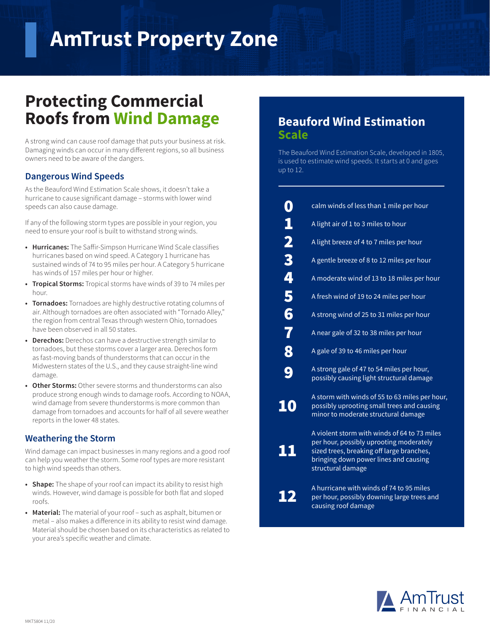# **AmTrust Property Zone**

## **Protecting Commercial Roofs from Wind Damage**

A strong wind can cause roof damage that puts your business at risk. Damaging winds can occur in many different regions, so all business owners need to be aware of the dangers.

## **Dangerous Wind Speeds**

As the Beauford Wind Estimation Scale shows, it doesn't take a hurricane to cause significant damage – storms with lower wind speeds can also cause damage.

If any of the following storm types are possible in your region, you need to ensure your roof is built to withstand strong winds.

- **• Hurricanes:** The Saffir-Simpson Hurricane Wind Scale classifies hurricanes based on wind speed. A Category 1 hurricane has sustained winds of 74 to 95 miles per hour. A Category 5 hurricane has winds of 157 miles per hour or higher.
- **• Tropical Storms:** Tropical storms have winds of 39 to 74 miles per hour.
- **• Tornadoes:** Tornadoes are highly destructive rotating columns of air. Although tornadoes are often associated with "Tornado Alley," the region from central Texas through western Ohio, tornadoes have been observed in all 50 states.
- **• Derechos:** Derechos can have a destructive strength similar to tornadoes, but these storms cover a larger area. Derechos form as fast-moving bands of thunderstorms that can occur in the Midwestern states of the U.S., and they cause straight-line wind damage.
- **• Other Storms:** Other severe storms and thunderstorms can also produce strong enough winds to damage roofs. According to NOAA, wind damage from severe thunderstorms is more common than damage from tornadoes and accounts for half of all severe weather reports in the lower 48 states.

## **Weathering the Storm**

Wind damage can impact businesses in many regions and a good roof can help you weather the storm. Some roof types are more resistant to high wind speeds than others.

- **• Shape:** The shape of your roof can impact its ability to resist high winds. However, wind damage is possible for both flat and sloped roofs.
- **• Material:** The material of your roof such as asphalt, bitumen or metal – also makes a difference in its ability to resist wind damage. Material should be chosen based on its characteristics as related to your area's specific weather and climate.

## **Beauford Wind Estimation Scale**

The Beauford Wind Estimation Scale, developed in 1805, is used to estimate wind speeds. It starts at 0 and goes up to 12.

| $\boldsymbol{0}$                | calm winds of less than 1 mile per hour                                                                                                                                                            |
|---------------------------------|----------------------------------------------------------------------------------------------------------------------------------------------------------------------------------------------------|
|                                 | A light air of 1 to 3 miles to hour                                                                                                                                                                |
| 1234                            | A light breeze of 4 to 7 miles per hour                                                                                                                                                            |
|                                 | A gentle breeze of 8 to 12 miles per hour                                                                                                                                                          |
|                                 | A moderate wind of 13 to 18 miles per hour                                                                                                                                                         |
| $\overline{\phantom{a}}$ 5<br>6 | A fresh wind of 19 to 24 miles per hour                                                                                                                                                            |
|                                 | A strong wind of 25 to 31 miles per hour                                                                                                                                                           |
| 7                               | A near gale of 32 to 38 miles per hour                                                                                                                                                             |
| 8                               | A gale of 39 to 46 miles per hour                                                                                                                                                                  |
| 9                               | A strong gale of 47 to 54 miles per hour,<br>possibly causing light structural damage                                                                                                              |
| 10                              | A storm with winds of 55 to 63 miles per hour,<br>possibly uprooting small trees and causing<br>minor to moderate structural damage                                                                |
|                                 | A violent storm with winds of 64 to 73 miles<br>per hour, possibly uprooting moderately<br>sized trees, breaking off large branches,<br>bringing down power lines and causing<br>structural damage |

A hurricane with winds of 74 to 95 miles per hour, possibly downing large trees and causing roof damage

12